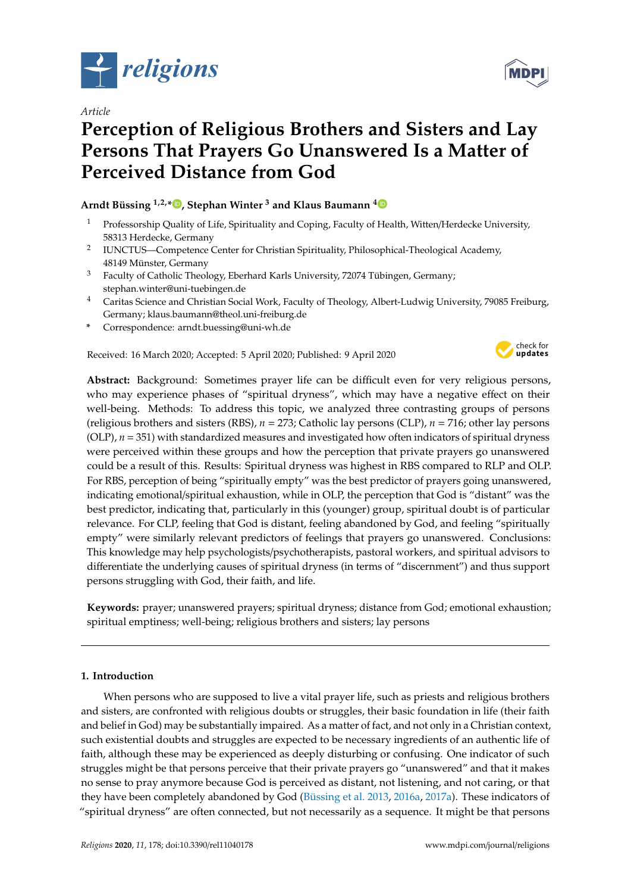

*Article*

# **Perception of Religious Brothers and Sisters and Lay Persons That Prayers Go Unanswered Is a Matter of Perceived Distance from God**

## **Arndt Büssing 1,2,\* [,](https://orcid.org/0000-0002-5025-7950) Stephan Winter <sup>3</sup> and Klaus Baumann [4](https://orcid.org/0000-0002-7998-0763)**

- <sup>1</sup> Professorship Quality of Life, Spirituality and Coping, Faculty of Health, Witten/Herdecke University, 58313 Herdecke, Germany
- 2 IUNCTUS—Competence Center for Christian Spirituality, Philosophical-Theological Academy, 48149 Münster, Germany
- <sup>3</sup> Faculty of Catholic Theology, Eberhard Karls University, 72074 Tübingen, Germany; stephan.winter@uni-tuebingen.de
- <sup>4</sup> Caritas Science and Christian Social Work, Faculty of Theology, Albert-Ludwig University, 79085 Freiburg, Germany; klaus.baumann@theol.uni-freiburg.de
- **\*** Correspondence: arndt.buessing@uni-wh.de

Received: 16 March 2020; Accepted: 5 April 2020; Published: 9 April 2020



**Abstract:** Background: Sometimes prayer life can be difficult even for very religious persons, who may experience phases of "spiritual dryness", which may have a negative effect on their well-being. Methods: To address this topic, we analyzed three contrasting groups of persons (religious brothers and sisters (RBS), *n* = 273; Catholic lay persons (CLP), *n* = 716; other lay persons  $(OLP)$ ,  $n = 351$ ) with standardized measures and investigated how often indicators of spiritual dryness were perceived within these groups and how the perception that private prayers go unanswered could be a result of this. Results: Spiritual dryness was highest in RBS compared to RLP and OLP. For RBS, perception of being "spiritually empty" was the best predictor of prayers going unanswered, indicating emotional/spiritual exhaustion, while in OLP, the perception that God is "distant" was the best predictor, indicating that, particularly in this (younger) group, spiritual doubt is of particular relevance. For CLP, feeling that God is distant, feeling abandoned by God, and feeling "spiritually empty" were similarly relevant predictors of feelings that prayers go unanswered. Conclusions: This knowledge may help psychologists/psychotherapists, pastoral workers, and spiritual advisors to differentiate the underlying causes of spiritual dryness (in terms of "discernment") and thus support persons struggling with God, their faith, and life.

**Keywords:** prayer; unanswered prayers; spiritual dryness; distance from God; emotional exhaustion; spiritual emptiness; well-being; religious brothers and sisters; lay persons

## **1. Introduction**

When persons who are supposed to live a vital prayer life, such as priests and religious brothers and sisters, are confronted with religious doubts or struggles, their basic foundation in life (their faith and belief in God) may be substantially impaired. As a matter of fact, and not only in a Christian context, such existential doubts and struggles are expected to be necessary ingredients of an authentic life of faith, although these may be experienced as deeply disturbing or confusing. One indicator of such struggles might be that persons perceive that their private prayers go "unanswered" and that it makes no sense to pray anymore because God is perceived as distant, not listening, and not caring, or that they have been completely abandoned by God [\(Büssing et al.](#page-8-0) [2013,](#page-8-0) [2016a,](#page-8-1) [2017a\)](#page-8-2). These indicators of "spiritual dryness" are often connected, but not necessarily as a sequence. It might be that persons

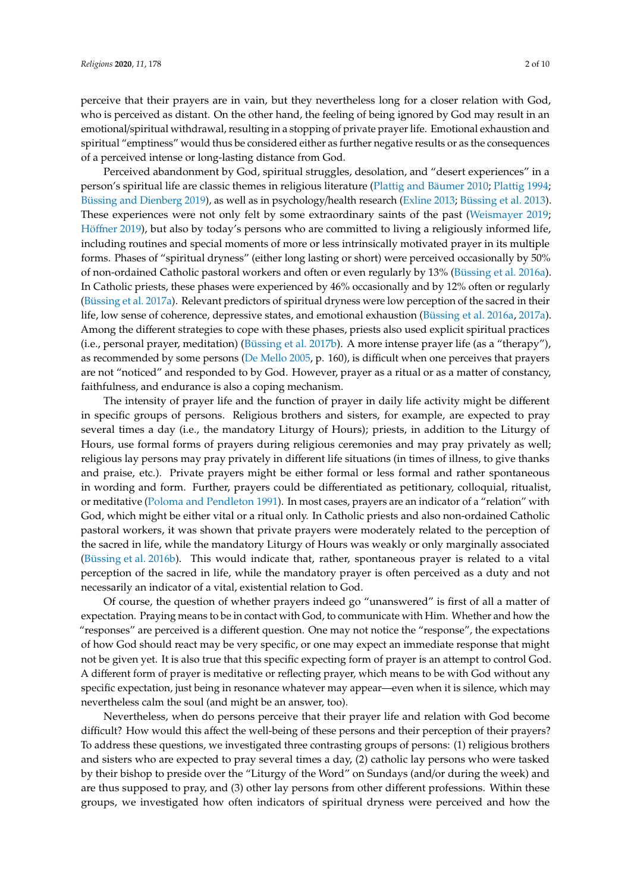perceive that their prayers are in vain, but they nevertheless long for a closer relation with God, who is perceived as distant. On the other hand, the feeling of being ignored by God may result in an emotional/spiritual withdrawal, resulting in a stopping of private prayer life. Emotional exhaustion and spiritual "emptiness" would thus be considered either as further negative results or as the consequences of a perceived intense or long-lasting distance from God.

Perceived abandonment by God, spiritual struggles, desolation, and "desert experiences" in a person's spiritual life are classic themes in religious literature [\(Plattig and Bäumer](#page-9-0) [2010;](#page-9-0) [Plattig](#page-9-1) [1994;](#page-9-1) [Büssing and Dienberg](#page-8-3) [2019\)](#page-8-3), as well as in psychology/health research [\(Exline](#page-8-4) [2013;](#page-8-4) [Büssing et al.](#page-8-0) [2013\)](#page-8-0). These experiences were not only felt by some extraordinary saints of the past [\(Weismayer](#page-9-2) [2019;](#page-9-2) Höff[ner](#page-9-3) [2019\)](#page-9-3), but also by today's persons who are committed to living a religiously informed life, including routines and special moments of more or less intrinsically motivated prayer in its multiple forms. Phases of "spiritual dryness" (either long lasting or short) were perceived occasionally by 50% of non-ordained Catholic pastoral workers and often or even regularly by 13% [\(Büssing et al.](#page-8-1) [2016a\)](#page-8-1). In Catholic priests, these phases were experienced by 46% occasionally and by 12% often or regularly [\(Büssing et al.](#page-8-2) [2017a\)](#page-8-2). Relevant predictors of spiritual dryness were low perception of the sacred in their life, low sense of coherence, depressive states, and emotional exhaustion [\(Büssing et al.](#page-8-1) [2016a,](#page-8-1) [2017a\)](#page-8-2). Among the different strategies to cope with these phases, priests also used explicit spiritual practices (i.e., personal prayer, meditation) [\(Büssing et al.](#page-8-5) [2017b\)](#page-8-5). A more intense prayer life (as a "therapy"), as recommended by some persons [\(De Mello](#page-8-6) [2005,](#page-8-6) p. 160), is difficult when one perceives that prayers are not "noticed" and responded to by God. However, prayer as a ritual or as a matter of constancy, faithfulness, and endurance is also a coping mechanism.

The intensity of prayer life and the function of prayer in daily life activity might be different in specific groups of persons. Religious brothers and sisters, for example, are expected to pray several times a day (i.e., the mandatory Liturgy of Hours); priests, in addition to the Liturgy of Hours, use formal forms of prayers during religious ceremonies and may pray privately as well; religious lay persons may pray privately in different life situations (in times of illness, to give thanks and praise, etc.). Private prayers might be either formal or less formal and rather spontaneous in wording and form. Further, prayers could be differentiated as petitionary, colloquial, ritualist, or meditative [\(Poloma and Pendleton](#page-9-4) [1991\)](#page-9-4). In most cases, prayers are an indicator of a "relation" with God, which might be either vital or a ritual only. In Catholic priests and also non-ordained Catholic pastoral workers, it was shown that private prayers were moderately related to the perception of the sacred in life, while the mandatory Liturgy of Hours was weakly or only marginally associated [\(Büssing et al.](#page-8-7) [2016b\)](#page-8-7). This would indicate that, rather, spontaneous prayer is related to a vital perception of the sacred in life, while the mandatory prayer is often perceived as a duty and not necessarily an indicator of a vital, existential relation to God.

Of course, the question of whether prayers indeed go "unanswered" is first of all a matter of expectation. Praying means to be in contact with God, to communicate with Him. Whether and how the "responses" are perceived is a different question. One may not notice the "response", the expectations of how God should react may be very specific, or one may expect an immediate response that might not be given yet. It is also true that this specific expecting form of prayer is an attempt to control God. A different form of prayer is meditative or reflecting prayer, which means to be with God without any specific expectation, just being in resonance whatever may appear—even when it is silence, which may nevertheless calm the soul (and might be an answer, too).

Nevertheless, when do persons perceive that their prayer life and relation with God become difficult? How would this affect the well-being of these persons and their perception of their prayers? To address these questions, we investigated three contrasting groups of persons: (1) religious brothers and sisters who are expected to pray several times a day, (2) catholic lay persons who were tasked by their bishop to preside over the "Liturgy of the Word" on Sundays (and/or during the week) and are thus supposed to pray, and (3) other lay persons from other different professions. Within these groups, we investigated how often indicators of spiritual dryness were perceived and how the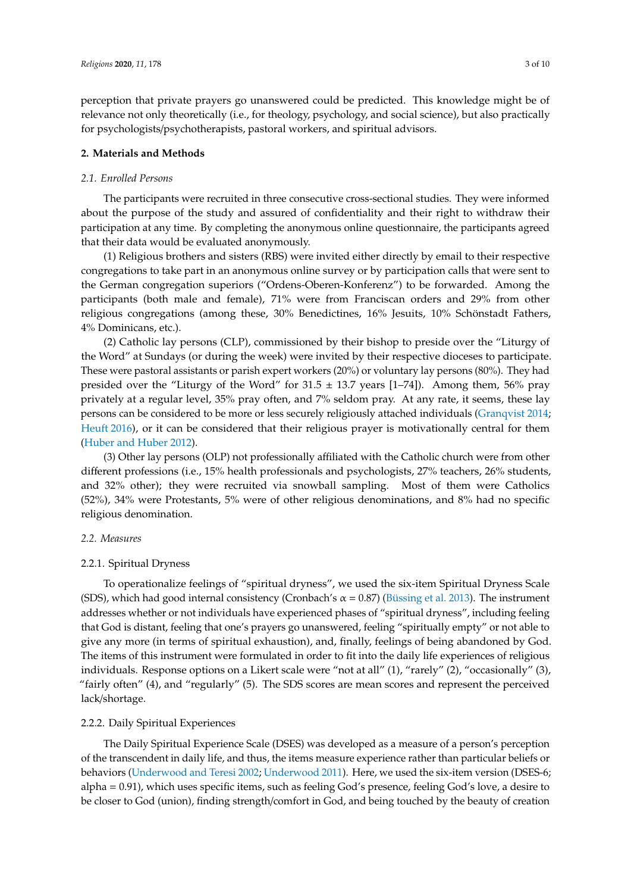perception that private prayers go unanswered could be predicted. This knowledge might be of relevance not only theoretically (i.e., for theology, psychology, and social science), but also practically for psychologists/psychotherapists, pastoral workers, and spiritual advisors.

#### **2. Materials and Methods**

#### *2.1. Enrolled Persons*

The participants were recruited in three consecutive cross-sectional studies. They were informed about the purpose of the study and assured of confidentiality and their right to withdraw their participation at any time. By completing the anonymous online questionnaire, the participants agreed that their data would be evaluated anonymously.

(1) Religious brothers and sisters (RBS) were invited either directly by email to their respective congregations to take part in an anonymous online survey or by participation calls that were sent to the German congregation superiors ("Ordens-Oberen-Konferenz") to be forwarded. Among the participants (both male and female), 71% were from Franciscan orders and 29% from other religious congregations (among these, 30% Benedictines, 16% Jesuits, 10% Schönstadt Fathers, 4% Dominicans, etc.).

(2) Catholic lay persons (CLP), commissioned by their bishop to preside over the "Liturgy of the Word" at Sundays (or during the week) were invited by their respective dioceses to participate. These were pastoral assistants or parish expert workers (20%) or voluntary lay persons (80%). They had presided over the "Liturgy of the Word" for  $31.5 \pm 13.7$  years [1–74]). Among them, 56% pray privately at a regular level, 35% pray often, and 7% seldom pray. At any rate, it seems, these lay persons can be considered to be more or less securely religiously attached individuals [\(Granqvist](#page-8-8) [2014;](#page-8-8) [Heuft](#page-8-9) [2016\)](#page-8-9), or it can be considered that their religious prayer is motivationally central for them [\(Huber and Huber](#page-9-5) [2012\)](#page-9-5).

(3) Other lay persons (OLP) not professionally affiliated with the Catholic church were from other different professions (i.e., 15% health professionals and psychologists, 27% teachers, 26% students, and 32% other); they were recruited via snowball sampling. Most of them were Catholics (52%), 34% were Protestants, 5% were of other religious denominations, and 8% had no specific religious denomination.

#### *2.2. Measures*

## 2.2.1. Spiritual Dryness

To operationalize feelings of "spiritual dryness", we used the six-item Spiritual Dryness Scale (SDS), which had good internal consistency (Cronbach's  $\alpha$  = 0.87) [\(Büssing et al.](#page-8-0) [2013\)](#page-8-0). The instrument addresses whether or not individuals have experienced phases of "spiritual dryness", including feeling that God is distant, feeling that one's prayers go unanswered, feeling "spiritually empty" or not able to give any more (in terms of spiritual exhaustion), and, finally, feelings of being abandoned by God. The items of this instrument were formulated in order to fit into the daily life experiences of religious individuals. Response options on a Likert scale were "not at all" (1), "rarely" (2), "occasionally" (3), "fairly often" (4), and "regularly" (5). The SDS scores are mean scores and represent the perceived lack/shortage.

#### 2.2.2. Daily Spiritual Experiences

The Daily Spiritual Experience Scale (DSES) was developed as a measure of a person's perception of the transcendent in daily life, and thus, the items measure experience rather than particular beliefs or behaviors [\(Underwood and Teresi](#page-9-6) [2002;](#page-9-6) [Underwood](#page-9-7) [2011\)](#page-9-7). Here, we used the six-item version (DSES-6; alpha = 0.91), which uses specific items, such as feeling God's presence, feeling God's love, a desire to be closer to God (union), finding strength/comfort in God, and being touched by the beauty of creation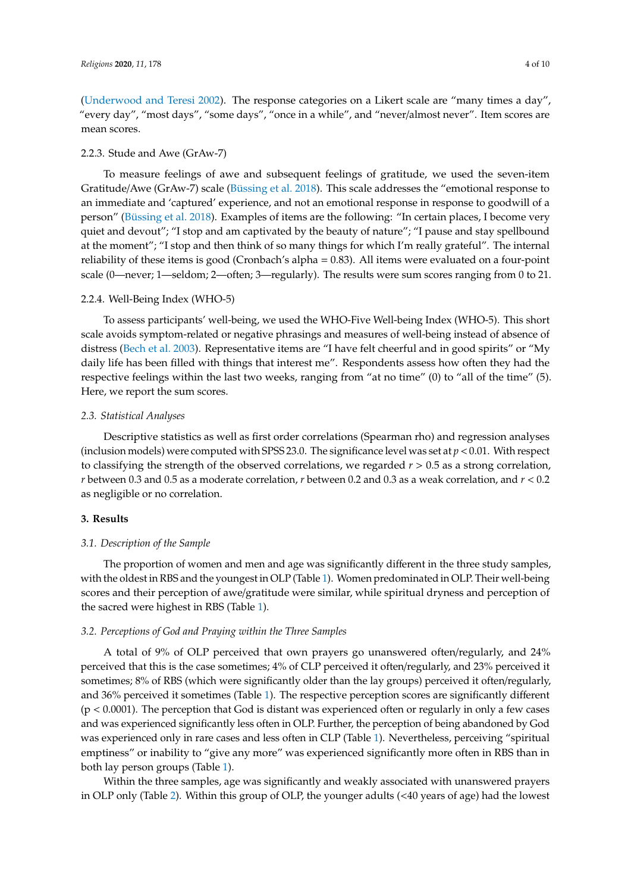[\(Underwood and Teresi](#page-9-6) [2002\)](#page-9-6). The response categories on a Likert scale are "many times a day", "every day", "most days", "some days", "once in a while", and "never/almost never". Item scores are mean scores.

#### 2.2.3. Stude and Awe (GrAw-7)

To measure feelings of awe and subsequent feelings of gratitude, we used the seven-item Gratitude/Awe (GrAw-7) scale [\(Büssing et al.](#page-8-10) [2018\)](#page-8-10). This scale addresses the "emotional response to an immediate and 'captured' experience, and not an emotional response in response to goodwill of a person" [\(Büssing et al.](#page-8-10) [2018\)](#page-8-10). Examples of items are the following: "In certain places, I become very quiet and devout"; "I stop and am captivated by the beauty of nature"; "I pause and stay spellbound at the moment"; "I stop and then think of so many things for which I'm really grateful". The internal reliability of these items is good (Cronbach's alpha = 0.83). All items were evaluated on a four-point scale (0—never; 1—seldom; 2—often; 3—regularly). The results were sum scores ranging from 0 to 21.

#### 2.2.4. Well-Being Index (WHO-5)

To assess participants' well-being, we used the WHO-Five Well-being Index (WHO-5). This short scale avoids symptom-related or negative phrasings and measures of well-being instead of absence of distress [\(Bech et al.](#page-8-11) [2003\)](#page-8-11). Representative items are "I have felt cheerful and in good spirits" or "My daily life has been filled with things that interest me". Respondents assess how often they had the respective feelings within the last two weeks, ranging from "at no time" (0) to "all of the time" (5). Here, we report the sum scores.

#### *2.3. Statistical Analyses*

Descriptive statistics as well as first order correlations (Spearman rho) and regression analyses (inclusion models) were computed with SPSS 23.0. The significance level was set at  $p < 0.01$ . With respect to classifying the strength of the observed correlations, we regarded *r* > 0.5 as a strong correlation, *r* between 0.3 and 0.5 as a moderate correlation, *r* between 0.2 and 0.3 as a weak correlation, and *r* < 0.2 as negligible or no correlation.

#### **3. Results**

#### *3.1. Description of the Sample*

The proportion of women and men and age was significantly different in the three study samples, with the oldest in RBS and the youngest in OLP (Table [1\)](#page-4-0). Women predominated in OLP. Their well-being scores and their perception of awe/gratitude were similar, while spiritual dryness and perception of the sacred were highest in RBS (Table [1\)](#page-4-0).

#### *3.2. Perceptions of God and Praying within the Three Samples*

A total of 9% of OLP perceived that own prayers go unanswered often/regularly, and 24% perceived that this is the case sometimes; 4% of CLP perceived it often/regularly, and 23% perceived it sometimes; 8% of RBS (which were significantly older than the lay groups) perceived it often/regularly, and 36% perceived it sometimes (Table [1\)](#page-4-0). The respective perception scores are significantly different (p < 0.0001). The perception that God is distant was experienced often or regularly in only a few cases and was experienced significantly less often in OLP. Further, the perception of being abandoned by God was experienced only in rare cases and less often in CLP (Table [1\)](#page-4-0). Nevertheless, perceiving "spiritual emptiness" or inability to "give any more" was experienced significantly more often in RBS than in both lay person groups (Table [1\)](#page-4-0).

Within the three samples, age was significantly and weakly associated with unanswered prayers in OLP only (Table [2\)](#page-4-1). Within this group of OLP, the younger adults (<40 years of age) had the lowest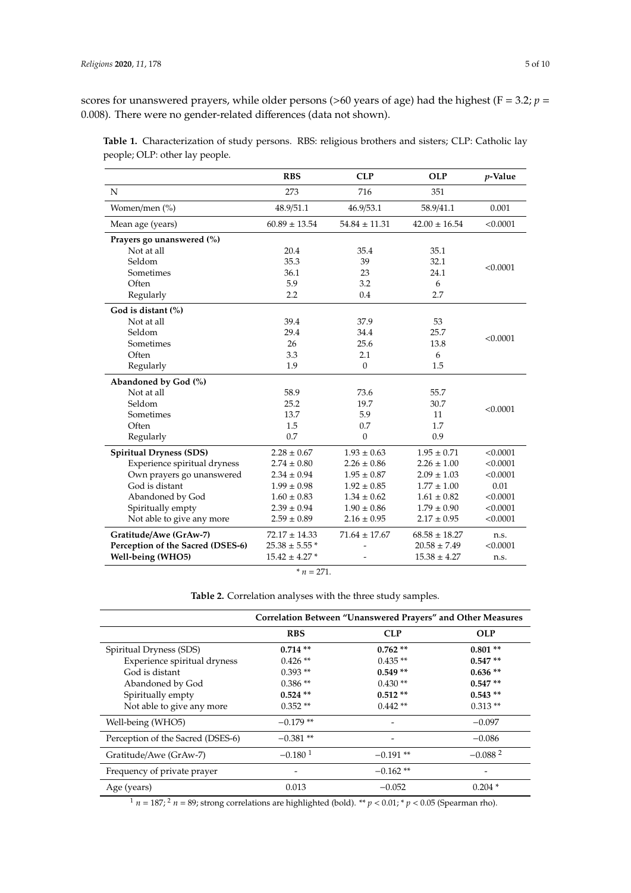scores for unanswered prayers, while older persons ( $>60$  years of age) had the highest ( $F = 3.2$ ;  $p =$ 0.008). There were no gender-related differences (data not shown).

|                                   | <b>RBS</b>         | <b>CLP</b>        | <b>OLP</b>        | <i>p</i> -Value |
|-----------------------------------|--------------------|-------------------|-------------------|-----------------|
| $\mathbf N$                       | 273                | 716               | 351               |                 |
| Women/men (%)                     | 48.9/51.1          | 46.9/53.1         | 58.9/41.1         | 0.001           |
| Mean age (years)                  | $60.89 \pm 13.54$  | $54.84 \pm 11.31$ | $42.00 \pm 16.54$ | < 0.0001        |
| Prayers go unanswered (%)         |                    |                   |                   |                 |
| Not at all                        | 20.4               | 35.4              | 35.1              |                 |
| Seldom                            | 35.3               | 39                | 32.1              |                 |
| Sometimes                         | 36.1               | 23                | 24.1              | < 0.0001        |
| Often                             | 5.9                | 3.2               | 6                 |                 |
| Regularly                         | 2.2                | 0.4               | 2.7               |                 |
| God is distant (%)                |                    |                   |                   |                 |
| Not at all                        | 39.4               | 37.9              | 53                |                 |
| Seldom                            | 29.4               | 34.4              | 25.7              | < 0.0001        |
| Sometimes                         | 26                 | 25.6              | 13.8              |                 |
| Often                             | 3.3                | 2.1               | 6                 |                 |
| Regularly                         | 1.9                | $\boldsymbol{0}$  | 1.5               |                 |
| Abandoned by God (%)              |                    |                   |                   |                 |
| Not at all                        | 58.9               | 73.6              | 55.7              |                 |
| Seldom                            | 25.2               | 19.7              | 30.7              | < 0.0001        |
| Sometimes                         | 13.7               | 5.9               | 11                |                 |
| Often                             | 1.5                | 0.7               | 1.7               |                 |
| Regularly                         | 0.7                | $\mathbf{0}$      | 0.9               |                 |
| <b>Spiritual Dryness (SDS)</b>    | $2.28 \pm 0.67$    | $1.93 \pm 0.63$   | $1.95 \pm 0.71$   | < 0.0001        |
| Experience spiritual dryness      | $2.74 \pm 0.80$    | $2.26 \pm 0.86$   | $2.26 \pm 1.00$   | < 0.0001        |
| Own prayers go unanswered         | $2.34 \pm 0.94$    | $1.95 \pm 0.87$   | $2.09 \pm 1.03$   | < 0.0001        |
| God is distant                    | $1.99 \pm 0.98$    | $1.92 \pm 0.85$   | $1.77 \pm 1.00$   | 0.01            |
| Abandoned by God                  | $1.60 \pm 0.83$    | $1.34 \pm 0.62$   | $1.61 \pm 0.82$   | < 0.0001        |
| Spiritually empty                 | $2.39 \pm 0.94$    | $1.90 \pm 0.86$   | $1.79 \pm 0.90$   | < 0.0001        |
| Not able to give any more         | $2.59 \pm 0.89$    | $2.16 \pm 0.95$   | $2.17 \pm 0.95$   | < 0.0001        |
| Gratitude/Awe (GrAw-7)            | $72.17 \pm 14.33$  | $71.64 \pm 17.67$ | $68.58 \pm 18.27$ | n.s.            |
| Perception of the Sacred (DSES-6) | $25.38 \pm 5.55$ * |                   | $20.58 \pm 7.49$  | < 0.0001        |
| Well-being (WHO5)                 | $15.42 \pm 4.27$ * |                   | $15.38 \pm 4.27$  | n.s.            |

<span id="page-4-0"></span>**Table 1.** Characterization of study persons. RBS: religious brothers and sisters; CLP: Catholic lay people; OLP: other lay people.

 $* n = 271.$ 

**Table 2.** Correlation analyses with the three study samples.

<span id="page-4-1"></span>

|                                   | Correlation Between "Unanswered Prayers" and Other Measures |            |                          |
|-----------------------------------|-------------------------------------------------------------|------------|--------------------------|
|                                   | <b>RBS</b>                                                  | <b>CLP</b> | <b>OLP</b>               |
| Spiritual Dryness (SDS)           | $0.714**$                                                   | $0.762**$  | $0.801**$                |
| Experience spiritual dryness      | $0.426$ **                                                  | $0.435**$  | $0.547**$                |
| God is distant                    | $0.393**$                                                   | $0.549**$  | $0.636**$                |
| Abandoned by God                  | $0.386**$                                                   | $0.430**$  | $0.547**$                |
| Spiritually empty                 | $0.524**$                                                   | $0.512**$  | $0.543**$                |
| Not able to give any more         | $0.352**$                                                   | $0.442**$  | $0.313**$                |
| Well-being (WHO5)                 | $-0.179**$                                                  |            | $-0.097$                 |
| Perception of the Sacred (DSES-6) | $-0.381**$                                                  |            | $-0.086$                 |
| Gratitude/Awe (GrAw-7)            | $-0.180$ <sup>1</sup>                                       | $-0.191**$ | $-0.0882$                |
| Frequency of private prayer       |                                                             | $-0.162**$ | $\overline{\phantom{0}}$ |
| Age (years)                       | 0.013                                                       | $-0.052$   | $0.204*$                 |

<sup>1</sup> *n* = 187; <sup>2</sup> *n* = 89; strong correlations are highlighted (bold). \*\* *p* < 0.01; \* *p* < 0.05 (Spearman rho).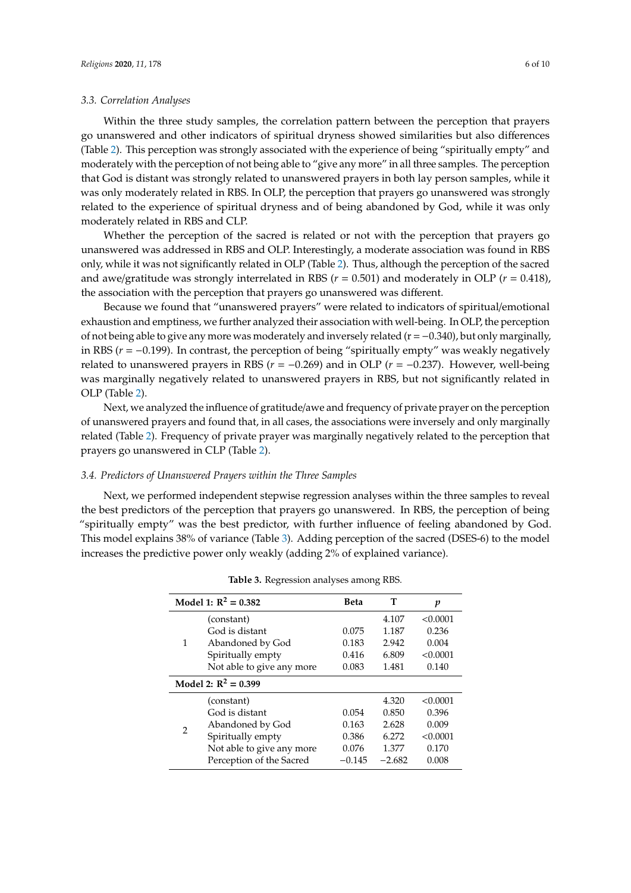#### *3.3. Correlation Analyses*

Within the three study samples, the correlation pattern between the perception that prayers go unanswered and other indicators of spiritual dryness showed similarities but also differences (Table [2\)](#page-4-1). This perception was strongly associated with the experience of being "spiritually empty" and moderately with the perception of not being able to "give any more" in all three samples. The perception that God is distant was strongly related to unanswered prayers in both lay person samples, while it was only moderately related in RBS. In OLP, the perception that prayers go unanswered was strongly related to the experience of spiritual dryness and of being abandoned by God, while it was only moderately related in RBS and CLP.

Whether the perception of the sacred is related or not with the perception that prayers go unanswered was addressed in RBS and OLP. Interestingly, a moderate association was found in RBS only, while it was not significantly related in OLP (Table [2\)](#page-4-1). Thus, although the perception of the sacred and awe/gratitude was strongly interrelated in RBS (*r* = 0.501) and moderately in OLP (*r* = 0.418), the association with the perception that prayers go unanswered was different.

Because we found that "unanswered prayers" were related to indicators of spiritual/emotional exhaustion and emptiness, we further analyzed their association with well-being. In OLP, the perception of not being able to give any more was moderately and inversely related ( $r = -0.340$ ), but only marginally, in RBS (*r* = −0.199). In contrast, the perception of being "spiritually empty" was weakly negatively related to unanswered prayers in RBS ( $r = -0.269$ ) and in OLP ( $r = -0.237$ ). However, well-being was marginally negatively related to unanswered prayers in RBS, but not significantly related in OLP (Table [2\)](#page-4-1).

Next, we analyzed the influence of gratitude/awe and frequency of private prayer on the perception of unanswered prayers and found that, in all cases, the associations were inversely and only marginally related (Table [2\)](#page-4-1). Frequency of private prayer was marginally negatively related to the perception that prayers go unanswered in CLP (Table [2\)](#page-4-1).

#### *3.4. Predictors of Unanswered Prayers within the Three Samples*

<span id="page-5-0"></span>Next, we performed independent stepwise regression analyses within the three samples to reveal the best predictors of the perception that prayers go unanswered. In RBS, the perception of being "spiritually empty" was the best predictor, with further influence of feeling abandoned by God. This model explains 38% of variance (Table [3\)](#page-5-0). Adding perception of the sacred (DSES-6) to the model increases the predictive power only weakly (adding 2% of explained variance).

|                        | Model 1: $R^2 = 0.382$    | Beta     | T        | p        |
|------------------------|---------------------------|----------|----------|----------|
|                        | (constant)                |          | 4.107    | < 0.0001 |
|                        | God is distant            | 0.075    | 1.187    | 0.236    |
| 1                      | Abandoned by God          | 0.183    | 2.942    | 0.004    |
|                        | Spiritually empty         | 0.416    | 6.809    | < 0.0001 |
|                        | Not able to give any more | 0.083    | 1.481    | 0.140    |
| Model 2: $R^2 = 0.399$ |                           |          |          |          |
| 2                      | (constant)                |          | 4.320    | < 0.0001 |
|                        | God is distant            | 0.054    | 0.850    | 0.396    |
|                        | Abandoned by God          | 0.163    | 2.628    | 0.009    |
|                        | Spiritually empty         | 0.386    | 6.272    | < 0.0001 |
|                        | Not able to give any more | 0.076    | 1.377    | 0.170    |
|                        | Perception of the Sacred  | $-0.145$ | $-2.682$ | 0.008    |

**Table 3.** Regression analyses among RBS.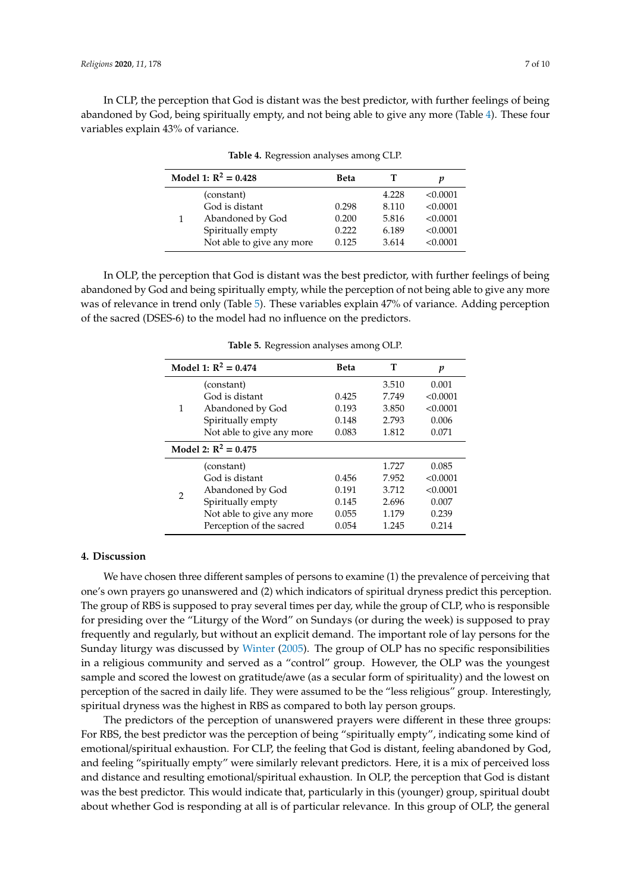<span id="page-6-0"></span>In CLP, the perception that God is distant was the best predictor, with further feelings of being abandoned by God, being spiritually empty, and not being able to give any more (Table [4\)](#page-6-0). These four variables explain 43% of variance.

|  | Model 1: $R^2 = 0.428$    | Beta  |       | р        |
|--|---------------------------|-------|-------|----------|
|  | (constant)                |       | 4.228 | < 0.0001 |
|  | God is distant            | 0.298 | 8.110 | < 0.0001 |
|  | Abandoned by God          | 0.200 | 5.816 | < 0.0001 |
|  | Spiritually empty         | 0.222 | 6.189 | < 0.0001 |
|  | Not able to give any more | 0.125 | 3.614 | < 0.0001 |

**Table 4.** Regression analyses among CLP.

<span id="page-6-1"></span>In OLP, the perception that God is distant was the best predictor, with further feelings of being abandoned by God and being spiritually empty, while the perception of not being able to give any more was of relevance in trend only (Table [5\)](#page-6-1). These variables explain 47% of variance. Adding perception of the sacred (DSES-6) to the model had no influence on the predictors.

|                        | Model 1: $R^2 = 0.474$    | <b>Beta</b> | т     | p        |
|------------------------|---------------------------|-------------|-------|----------|
| 1                      | (constant)                |             | 3.510 | 0.001    |
|                        | God is distant            | 0.425       | 7.749 | < 0.0001 |
|                        | Abandoned by God          | 0.193       | 3.850 | < 0.0001 |
|                        | Spiritually empty         | 0.148       | 2.793 | 0.006    |
|                        | Not able to give any more | 0.083       | 1.812 | 0.071    |
| Model 2: $R^2 = 0.475$ |                           |             |       |          |
| $\overline{2}$         | (constant)                |             | 1.727 | 0.085    |
|                        | God is distant            | 0.456       | 7.952 | < 0.0001 |
|                        | Abandoned by God          | 0.191       | 3.712 | < 0.0001 |
|                        | Spiritually empty         | 0.145       | 2.696 | 0.007    |
|                        | Not able to give any more | 0.055       | 1.179 | 0.239    |
|                        | Perception of the sacred  | 0.054       | 1.245 | 0.214    |

**Table 5.** Regression analyses among OLP.

#### **4. Discussion**

We have chosen three different samples of persons to examine (1) the prevalence of perceiving that one's own prayers go unanswered and (2) which indicators of spiritual dryness predict this perception. The group of RBS is supposed to pray several times per day, while the group of CLP, who is responsible for presiding over the "Liturgy of the Word" on Sundays (or during the week) is supposed to pray frequently and regularly, but without an explicit demand. The important role of lay persons for the Sunday liturgy was discussed by [Winter](#page-9-8) [\(2005\)](#page-9-8). The group of OLP has no specific responsibilities in a religious community and served as a "control" group. However, the OLP was the youngest sample and scored the lowest on gratitude/awe (as a secular form of spirituality) and the lowest on perception of the sacred in daily life. They were assumed to be the "less religious" group. Interestingly, spiritual dryness was the highest in RBS as compared to both lay person groups.

The predictors of the perception of unanswered prayers were different in these three groups: For RBS, the best predictor was the perception of being "spiritually empty", indicating some kind of emotional/spiritual exhaustion. For CLP, the feeling that God is distant, feeling abandoned by God, and feeling "spiritually empty" were similarly relevant predictors. Here, it is a mix of perceived loss and distance and resulting emotional/spiritual exhaustion. In OLP, the perception that God is distant was the best predictor. This would indicate that, particularly in this (younger) group, spiritual doubt about whether God is responding at all is of particular relevance. In this group of OLP, the general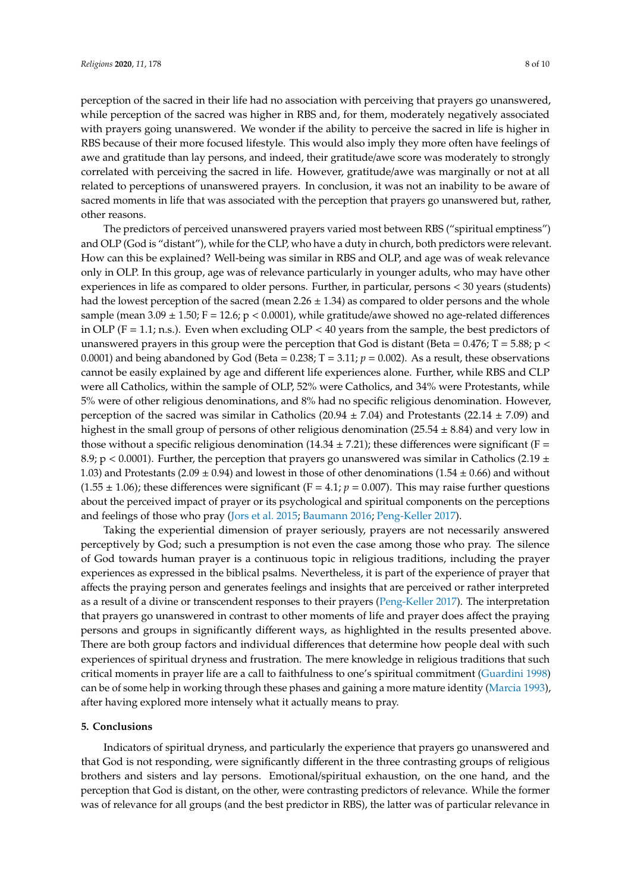perception of the sacred in their life had no association with perceiving that prayers go unanswered, while perception of the sacred was higher in RBS and, for them, moderately negatively associated with prayers going unanswered. We wonder if the ability to perceive the sacred in life is higher in RBS because of their more focused lifestyle. This would also imply they more often have feelings of awe and gratitude than lay persons, and indeed, their gratitude/awe score was moderately to strongly correlated with perceiving the sacred in life. However, gratitude/awe was marginally or not at all related to perceptions of unanswered prayers. In conclusion, it was not an inability to be aware of sacred moments in life that was associated with the perception that prayers go unanswered but, rather, other reasons.

The predictors of perceived unanswered prayers varied most between RBS ("spiritual emptiness") and OLP (God is "distant"), while for the CLP, who have a duty in church, both predictors were relevant. How can this be explained? Well-being was similar in RBS and OLP, and age was of weak relevance only in OLP. In this group, age was of relevance particularly in younger adults, who may have other experiences in life as compared to older persons. Further, in particular, persons < 30 years (students) had the lowest perception of the sacred (mean  $2.26 \pm 1.34$ ) as compared to older persons and the whole sample (mean  $3.09 \pm 1.50$ ; F = 12.6; p < 0.0001), while gratitude/awe showed no age-related differences in OLP ( $F = 1.1$ ; n.s.). Even when excluding OLP < 40 years from the sample, the best predictors of unanswered prayers in this group were the perception that God is distant (Beta =  $0.476$ ; T =  $5.88$ ; p < 0.0001) and being abandoned by God (Beta =  $0.238$ ; T =  $3.11$ ;  $p = 0.002$ ). As a result, these observations cannot be easily explained by age and different life experiences alone. Further, while RBS and CLP were all Catholics, within the sample of OLP, 52% were Catholics, and 34% were Protestants, while 5% were of other religious denominations, and 8% had no specific religious denomination. However, perception of the sacred was similar in Catholics (20.94  $\pm$  7.04) and Protestants (22.14  $\pm$  7.09) and highest in the small group of persons of other religious denomination (25.54  $\pm$  8.84) and very low in those without a specific religious denomination  $(14.34 \pm 7.21)$ ; these differences were significant (F = 8.9; p < 0.0001). Further, the perception that prayers go unanswered was similar in Catholics (2.19  $\pm$ 1.03) and Protestants (2.09  $\pm$  0.94) and lowest in those of other denominations (1.54  $\pm$  0.66) and without  $(1.55 \pm 1.06)$ ; these differences were significant  $(F = 4.1; p = 0.007)$ . This may raise further questions about the perceived impact of prayer or its psychological and spiritual components on the perceptions and feelings of those who pray [\(Jors et al.](#page-9-9) [2015;](#page-9-9) [Baumann](#page-8-12) [2016;](#page-8-12) [Peng-Keller](#page-9-10) [2017\)](#page-9-10).

Taking the experiential dimension of prayer seriously, prayers are not necessarily answered perceptively by God; such a presumption is not even the case among those who pray. The silence of God towards human prayer is a continuous topic in religious traditions, including the prayer experiences as expressed in the biblical psalms. Nevertheless, it is part of the experience of prayer that affects the praying person and generates feelings and insights that are perceived or rather interpreted as a result of a divine or transcendent responses to their prayers [\(Peng-Keller](#page-9-10) [2017\)](#page-9-10). The interpretation that prayers go unanswered in contrast to other moments of life and prayer does affect the praying persons and groups in significantly different ways, as highlighted in the results presented above. There are both group factors and individual differences that determine how people deal with such experiences of spiritual dryness and frustration. The mere knowledge in religious traditions that such critical moments in prayer life are a call to faithfulness to one's spiritual commitment [\(Guardini](#page-8-13) [1998\)](#page-8-13) can be of some help in working through these phases and gaining a more mature identity [\(Marcia](#page-9-11) [1993\)](#page-9-11), after having explored more intensely what it actually means to pray.

#### **5. Conclusions**

Indicators of spiritual dryness, and particularly the experience that prayers go unanswered and that God is not responding, were significantly different in the three contrasting groups of religious brothers and sisters and lay persons. Emotional/spiritual exhaustion, on the one hand, and the perception that God is distant, on the other, were contrasting predictors of relevance. While the former was of relevance for all groups (and the best predictor in RBS), the latter was of particular relevance in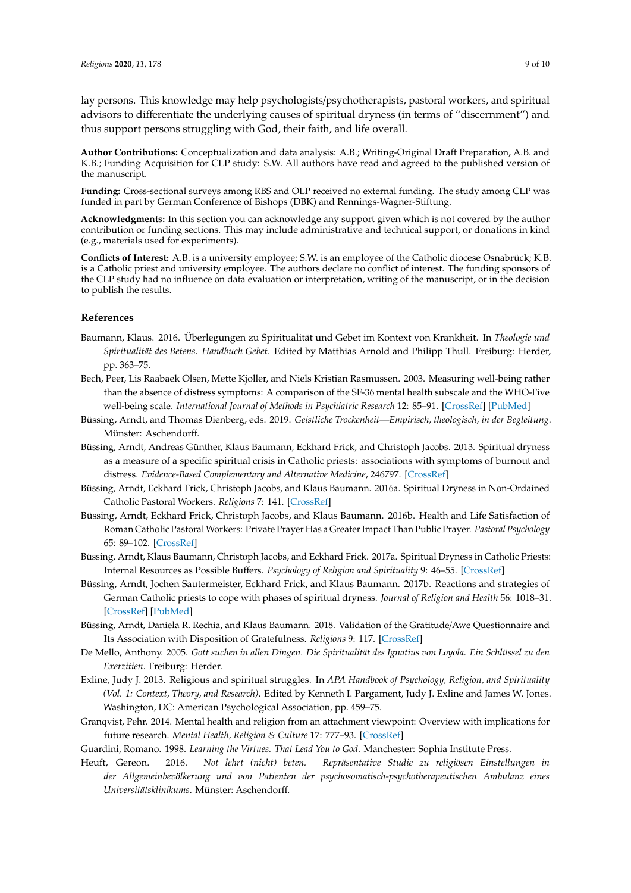lay persons. This knowledge may help psychologists/psychotherapists, pastoral workers, and spiritual advisors to differentiate the underlying causes of spiritual dryness (in terms of "discernment") and thus support persons struggling with God, their faith, and life overall.

**Author Contributions:** Conceptualization and data analysis: A.B.; Writing-Original Draft Preparation, A.B. and K.B.; Funding Acquisition for CLP study: S.W. All authors have read and agreed to the published version of the manuscript.

**Funding:** Cross-sectional surveys among RBS and OLP received no external funding. The study among CLP was funded in part by German Conference of Bishops (DBK) and Rennings-Wagner-Stiftung.

**Acknowledgments:** In this section you can acknowledge any support given which is not covered by the author contribution or funding sections. This may include administrative and technical support, or donations in kind (e.g., materials used for experiments).

**Conflicts of Interest:** A.B. is a university employee; S.W. is an employee of the Catholic diocese Osnabrück; K.B. is a Catholic priest and university employee. The authors declare no conflict of interest. The funding sponsors of the CLP study had no influence on data evaluation or interpretation, writing of the manuscript, or in the decision to publish the results.

#### **References**

- <span id="page-8-12"></span>Baumann, Klaus. 2016. Überlegungen zu Spiritualität und Gebet im Kontext von Krankheit. In *Theologie und Spiritualität des Betens. Handbuch Gebet*. Edited by Matthias Arnold and Philipp Thull. Freiburg: Herder, pp. 363–75.
- <span id="page-8-11"></span>Bech, Peer, Lis Raabaek Olsen, Mette Kjoller, and Niels Kristian Rasmussen. 2003. Measuring well-being rather than the absence of distress symptoms: A comparison of the SF-36 mental health subscale and the WHO-Five well-being scale. *International Journal of Methods in Psychiatric Research* 12: 85–91. [\[CrossRef\]](http://dx.doi.org/10.1002/mpr.145) [\[PubMed\]](http://www.ncbi.nlm.nih.gov/pubmed/12830302)
- <span id="page-8-3"></span>Büssing, Arndt, and Thomas Dienberg, eds. 2019. *Geistliche Trockenheit—Empirisch, theologisch, in der Begleitung*. Münster: Aschendorff.
- <span id="page-8-0"></span>Büssing, Arndt, Andreas Günther, Klaus Baumann, Eckhard Frick, and Christoph Jacobs. 2013. Spiritual dryness as a measure of a specific spiritual crisis in Catholic priests: associations with symptoms of burnout and distress. *Evidence-Based Complementary and Alternative Medicine*, 246797. [\[CrossRef\]](http://dx.doi.org/10.1155/2013/246797)
- <span id="page-8-1"></span>Büssing, Arndt, Eckhard Frick, Christoph Jacobs, and Klaus Baumann. 2016a. Spiritual Dryness in Non-Ordained Catholic Pastoral Workers. *Religions* 7: 141. [\[CrossRef\]](http://dx.doi.org/10.3390/rel7120141)
- <span id="page-8-7"></span>Büssing, Arndt, Eckhard Frick, Christoph Jacobs, and Klaus Baumann. 2016b. Health and Life Satisfaction of Roman Catholic Pastoral Workers: Private Prayer Has a Greater Impact Than Public Prayer. *Pastoral Psychology* 65: 89–102. [\[CrossRef\]](http://dx.doi.org/10.1007/s11089-015-0672-2)
- <span id="page-8-2"></span>Büssing, Arndt, Klaus Baumann, Christoph Jacobs, and Eckhard Frick. 2017a. Spiritual Dryness in Catholic Priests: Internal Resources as Possible Buffers. *Psychology of Religion and Spirituality* 9: 46–55. [\[CrossRef\]](http://dx.doi.org/10.1037/rel0000063)
- <span id="page-8-5"></span>Büssing, Arndt, Jochen Sautermeister, Eckhard Frick, and Klaus Baumann. 2017b. Reactions and strategies of German Catholic priests to cope with phases of spiritual dryness. *Journal of Religion and Health* 56: 1018–31. [\[CrossRef\]](http://dx.doi.org/10.1007/s10943-016-0333-5) [\[PubMed\]](http://www.ncbi.nlm.nih.gov/pubmed/27896534)
- <span id="page-8-10"></span>Büssing, Arndt, Daniela R. Rechia, and Klaus Baumann. 2018. Validation of the Gratitude/Awe Questionnaire and Its Association with Disposition of Gratefulness. *Religions* 9: 117. [\[CrossRef\]](http://dx.doi.org/10.3390/rel9040117)
- <span id="page-8-6"></span>De Mello, Anthony. 2005. *Gott suchen in allen Dingen. Die Spiritualität des Ignatius von Loyola. Ein Schlüssel zu den Exerzitien*. Freiburg: Herder.
- <span id="page-8-4"></span>Exline, Judy J. 2013. Religious and spiritual struggles. In *APA Handbook of Psychology, Religion, and Spirituality (Vol. 1: Context, Theory, and Research)*. Edited by Kenneth I. Pargament, Judy J. Exline and James W. Jones. Washington, DC: American Psychological Association, pp. 459–75.
- <span id="page-8-8"></span>Granqvist, Pehr. 2014. Mental health and religion from an attachment viewpoint: Overview with implications for future research. *Mental Health, Religion & Culture* 17: 777–93. [\[CrossRef\]](http://dx.doi.org/10.1080/13674676.2014.908513)
- <span id="page-8-13"></span><span id="page-8-9"></span>Guardini, Romano. 1998. *Learning the Virtues. That Lead You to God*. Manchester: Sophia Institute Press.
- Heuft, Gereon. 2016. *Not lehrt (nicht) beten. Repräsentative Studie zu religiösen Einstellungen in der Allgemeinbevölkerung und von Patienten der psychosomatisch-psychotherapeutischen Ambulanz eines Universitätsklinikums*. Münster: Aschendorff.